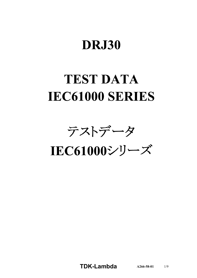# **DRJ30**

# **TEST DATA IEC61000 SERIES**

テストデータ

IEC61000シリーズ

**TDKLambda A2665801** 1/9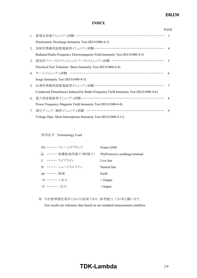# *DRJ30*

### **INDEX**

|                                  |                                                                                      | <b>PAGE</b>   |
|----------------------------------|--------------------------------------------------------------------------------------|---------------|
|                                  | 1. 静電気放電イミュニティ試験 ……………………………………………………………                                             | $\mathcal{R}$ |
|                                  | Electrostatic Discharge Immunity Test (IEC61000-4-2)                                 |               |
| 2.                               | 放射性無線周波数電磁界イミュニティ試験 ………………………………………………… 4                                            |               |
|                                  | Radiated Radio-Frequency Electromagnetic Field Immunity Test (IEC61000-4-3)          |               |
| 3.                               | 電気的ファーストトランジェントバーストイミュニティ試験 …………………………………                                            | $\varsigma$   |
|                                  | Electrical Fast Transient / Burst Immunity Test (IEC61000-4-4)                       |               |
|                                  | 4. サージイミュニティ試験 ……………………………………………………………                                               | 6             |
|                                  | Surge Immunity Test (IEC61000-4-5)                                                   |               |
| 5.                               | 伝導性無線周波数電磁界イミュニティ試験 ………………………………………………                                               | 7             |
|                                  | Conducted Disturbances Induced by Radio-Frequency Field Immunity Test (IEC61000-4-6) |               |
| 6.                               | 電力周波数磁界イミュニティ試験 ………………………………………………………                                                | 8             |
|                                  | Power Frequency Magnetic Field Immunity Test (IEC61000-4-8)                          |               |
| $7_{\scriptscriptstyle{\ddots}}$ | 電圧ディップ、瞬停イミュニティ試験 ……………………………………………………                                               | 9             |
|                                  | Voltage Dips, Short Interruptions Immunity Test (IEC61000-4-11)                      |               |

使用記号 Terminology Used

|                        | FG …… フレームグラウンド                         | Frame GND                        |
|------------------------|-----------------------------------------|----------------------------------|
|                        | ( <del>↓</del> ) ・・・・・・・保護接地用端子(PE端子) ― | PE(Protective earthing) terminal |
|                        | I. ・・・・・・・ ライブライン                       | Live line                        |
|                        | N …… ニュートラルライン                          | Neutral line                     |
| <del>〃</del> ・・・・・・ 接地 |                                         | Earth                            |
| $+V$ + $HH$            |                                         | $+$ Output                       |
| -V …… - 出力             |                                         | - Output                         |

※ 当社標準測定条件における結果であり、参考値としてお考え願います。

Test results are reference data based on our standard measurement condition.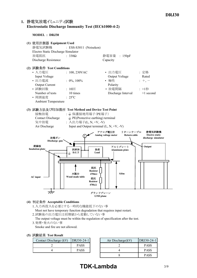## **1. Electrostatic Discharge Immunity Test (IEC6100042)**

**MODEL : DRJ30**



#### **(4) Acceptable Conditions**

1.入力再投入を必要とする一時的な機能低下のない事 Must not have temporary function degradation that requires input restart. 2.試験後の出力電圧は初期値から変動していない事

The output voltage must be within the regulation of specification after the test.

3.発煙・発火のない事

Smoke and fire are not allowed.

#### **(5) Test Result**

| Contact Discharge (kV) | DRJ30-24-1  | Air Discharge(kV) |
|------------------------|-------------|-------------------|
|                        | <b>PASS</b> |                   |
|                        | <b>PASS</b> |                   |

| DRJ30-24-1  |  | Air Discharge(kV) | DRJ30-24-1  |
|-------------|--|-------------------|-------------|
| <b>PASS</b> |  |                   | <b>PASS</b> |
| <b>PASS</b> |  |                   | <b>PASS</b> |
|             |  |                   | <b>PASS</b> |

# **TDK-Lambda** 3/9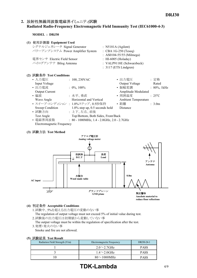## 2. 放射性無線周波数電磁界イミュニティ試験 **Radiated RadioFrequency Electromagnetic Field Immunity Test (IEC6100043)**

**MODEL : DRJ30**

| (1) | 使用計測器 Equipment Used              |                           |
|-----|-----------------------------------|---------------------------|
|     | シグナルジェネレータ Signal Generator       | : N5181A (Agilent)        |
|     | パワーアンプシステム Power Amplifier System | : CBA $1G-250$ (Teseq)    |
|     |                                   | : AS0104-55/55 (Milmega)  |
|     | 電界センサ Electric Field Sensor       | : HI-6005 (Holaday)       |
|     | バイログアンテナ Bilog Antenna            | : VALP9118E (Schwarzbeck) |
|     |                                   | $: 3117$ (ETS Lindgren)   |
|     |                                   |                           |

| (2) 試験条件 Test Conditions        |                                                     |                            |                          |
|---------------------------------|-----------------------------------------------------|----------------------------|--------------------------|
| • 入力電圧                          | : $100, 230$ VAC                                    | • 出力電圧                     | : 定格                     |
| Input Voltage                   |                                                     | Output Voltage             | Rated                    |
| • 出力電流                          | $: 0\%, 100\%$                                      | • 振幅変調                     | $: 80\%, 1kHz$           |
| <b>Output Current</b>           |                                                     | Amplitude Modulated        |                          |
| • 偏波                            | : 水平、垂直                                             | • 周囲温度                     | $\div$ 25 <sup>o</sup> C |
| Wave Angle                      | Horizontal and Vertical                             | <b>Ambient Temperature</b> |                          |
| • スイープ·コンディション: 1.0%ステップ、0.5秒保持 |                                                     | • 距離                       | $\therefore$ 3.0m        |
| Sweep Condition                 | $1.0\%$ step up, 0.5 seconds hold                   | <b>Distance</b>            |                          |
| • 試験方向                          | : 上下、左右、前後                                          |                            |                          |
| Test Angle                      | Top/Bottom, Both Sides, Front/Back                  |                            |                          |
| • 電磁界周波数                        | : $80 - 1000$ MHz, $1.4 - 2.0$ GHz, $2.0 - 2.7$ GHz |                            |                          |
| Electromagnetic Frequency       |                                                     |                            |                          |

#### **(3) Test Method**



#### **(4) Acceptable Conditions**

- 1.試験中、5%を超える出力電圧の変動のない事 The regulation of output voltage must not exceed 5% of initial value during test. 2.試験後の出力電圧は初期値から変動していない事
- The output voltage must be within the regulation of specification after the test. 3.発煙・発火のない事
- Smoke and fire are not allowed.

#### **(5) Test Result**

| Radiation Field Strength (V/m) | Electromagnetic Frequency | DRJ30-24-1  |  |  |  |  |
|--------------------------------|---------------------------|-------------|--|--|--|--|
|                                | $2.0 \sim 2.7$ GHz        | <b>PASS</b> |  |  |  |  |
|                                | $1.4\sim2.0$ GHz          | <b>PASS</b> |  |  |  |  |
|                                | $80\sim1000$ MHz          | PASS        |  |  |  |  |

# **TDK-Lambda** 4/9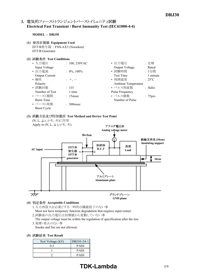## 3. 電気的ファーストトランジェントバーストイミュニティ試験 **Electrical Fast Transient / Burst Immunity Test (IEC6100044)**

#### **MODEL : DRJ30**

- **(1) Equipment Used** EFT/B発生器 : FNSAX3 (Noiseken) EFT/B Generator
- **(2) Test Conditions**

| • 入力電圧                | : $100, 230 \text{VAC}$ | :定格<br>• 出力電圧                      |
|-----------------------|-------------------------|------------------------------------|
| Input Voltage         |                         | Output Voltage<br>Rated            |
| • 出力電流                | $: 0\%, 100\%$          | • 試験時間<br>: 1分間                    |
| <b>Output Current</b> |                         | 1 minute<br><b>Test Time</b>       |
| • 極性                  | $: +, -$                | • 周囲温度<br>$\div$ 25 <sup>o</sup> C |
| Polarity              |                         | <b>Ambient Temperature</b>         |
| • 試験回数                | $: 1 \square$           | • パルス周波数<br>: 5kHz                 |
| Number of Test        | 1 time                  | Pulse Frequency                    |
| • バースト期間              | $: 15$ msec             | • パルス個数<br>: 75 <sub>pcs</sub>     |
| <b>Burst Time</b>     |                         | Number of Pulse                    |
| • バースト周期              | $\therefore$ 300 msec   |                                    |
| <b>Burst Cycle</b>    |                         |                                    |

# **(3) Test Method and Device Test Point**



**(4) Acceptable Conditions**

1.入力再投入を必要とする一時的な機能低下のない事 Must not have temporary function degradation that requires input restart.

2.試験後の出力電圧は初期値から変動していない事

The output voltage must be within the regulation of specification after the test. 3.発煙・発火のない事

Smoke and fire are not allowed.

**(5) Test Result**

| Test Voltage (kV) | DRJ30-24-1  |
|-------------------|-------------|
| 0.5               | <b>PASS</b> |
|                   | <b>PASS</b> |
|                   | <b>PASS</b> |

# **TDK-Lambda** 5/9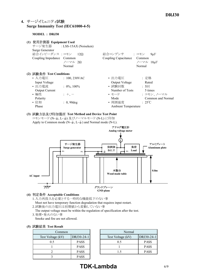## **4. Surge Immunity Test (IEC6100045)**

**MODEL : DRJ30**

| (1) 使用計測器 Equipment Used<br>サージ発生器 : LSS-15AX (Noiseken)<br><b>Surge Generator</b><br>結合インピーダンス : コモン 12Ω<br>Coupling Impedance Common<br>ノーマル 20<br>Normal                                 | 結合コンデンサ : コモン<br>$9\mu F$<br>Common<br>Coupling Capacitance<br>ノーマル 18µF<br>Normal                                                                                                                   |
|---------------------------------------------------------------------------------------------------------------------------------------------------------------------------------------------|------------------------------------------------------------------------------------------------------------------------------------------------------------------------------------------------------|
| (2) 試験条件 Test Conditions<br>• 入力電圧<br>$: 100, 230$ VAC<br>Input Voltage<br>• 出力電流<br>$: 0\%$ , 100%<br><b>Output Current</b><br>• 極性<br>$+,-$<br>Polarity<br>• 位相<br>$: 0, 90$ deg<br>Phase | : 定格<br>• 出力電圧<br>Output Voltage<br>Rated<br>• 試験回数<br>: 5回<br>Number of Tests<br>5 times<br>• モード<br>: コモン、ノーマル<br>Mode<br>Common and Normal<br>• 周囲温度<br>$\div$ 25°C<br><b>Ambient Temperature</b> |

**(3) Test Method and Device Test Point** コモンモード (N-(4), L-(4) 及びノーマルモード (N-L) に印加 Apply to Common mode  $(N-\textcircled{1})$ , L- $\textcircled{1})$  and Normal mode (N-L).



- **(4) Acceptable Conditions**
	- 1.入力再投入を必要とする一時的な機能低下のない事 Must not have temporary function degradation that requires input restart.
	-
	- 2.試験後の出力電圧は初期値から変動していない事
	- The output voltage must be within the regulation of specification after the test. 3.発煙・発火のない事
	- Smoke and fire are not allowed.

|  | (5) 試験結果 Test Result |  |  |
|--|----------------------|--|--|
|--|----------------------|--|--|

| Common            |             |  | Normal            |
|-------------------|-------------|--|-------------------|
| Test Voltage (kV) | DRJ30-24-1  |  | Test Voltage (kV) |
| 0.5               | <b>PASS</b> |  | 0.5               |
|                   | <b>PASS</b> |  |                   |
|                   | <b>PASS</b> |  |                   |
|                   | <b>PASS</b> |  |                   |

|             | Normal            |             |  |
|-------------|-------------------|-------------|--|
| DRJ30-24-1  | Test Voltage (kV) | DRJ30-24-1  |  |
| <b>PASS</b> | 05                | <b>PASS</b> |  |
| <b>PASS</b> |                   | <b>PASS</b> |  |
| <b>PASS</b> |                   | <b>PASS</b> |  |
|             |                   |             |  |

# **TDK-Lambda** 6/9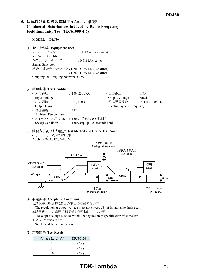## 5. 伝導性無線周波数電磁界イミュニティ試験 **Conducted Disturbances Induced by RadioFrequency** Field Immunity Test (IEC61000-4-6)

**MODEL : DRJ30**

**(1) Equipment Used**

RF パワーアンプ : 116FC-CE (Kalmus) RF Power Amplifier シグナルジェネレータ : N5181A (Agilent) Signal Generator 結合/減結合ネットワーク CDN1 : CDN M2 (Schaffner), CDN2 : CDN M3 (Schaffner) Coupling De-Coupling Network (CDN)

#### **(2) Test Conditions**

| • 入力電圧                          | : $100, 230 \text{VAC}$           | • 出力電圧                    | : 定格               |
|---------------------------------|-----------------------------------|---------------------------|--------------------|
| Input Voltage                   |                                   | Output Voltage            | Rated              |
| • 出力電流                          | $: 0\%, 100\%$                    | • 電磁界周波数                  | $: 150kHz - 80MHz$ |
| <b>Output Current</b>           |                                   | Electromagnetic Frequency |                    |
| • 周囲温度                          | $\cdot$ 25°C                      |                           |                    |
| Ambient Temperature             |                                   |                           |                    |
| • スイープ·コンディション: 1.0%ステップ、0.5秒保持 |                                   |                           |                    |
| Sweep Condition                 | $1.0\%$ step up, 0.5 seconds hold |                           |                    |
|                                 |                                   |                           |                    |

**(3) Test Method and Device Test Point** (N, L, 4)、(+V, -V)に印加



#### **(4) Acceptable Conditions**

- 1.試験中、5%を超える出力電圧の変動のない事
- The regulation of output voltage must not exceed 5% of initial value during test.
- 2.試験後の出力電圧は初期値から変動していない事

The output voltage must be within the regulation of specification after the test. 3.発煙・発火のない事

Smoke and fire are not allowed.

#### **(5) Test Result**

| Voltage Level (V) | DRJ30-24-1  |
|-------------------|-------------|
|                   | <b>PASS</b> |
|                   | <b>PASS</b> |
|                   | <b>PASS</b> |

# **TDK-Lambda** 7/9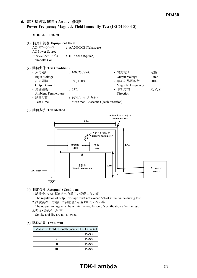## 6. 電力周波数磁界イミュニティ試験 **Power Frequency Magnetic Field Immunity Test (IEC6100048)**

#### **MODEL : DRJ30**

- **(1) Equipment Used**
	- ACパワーソース : AA2000XG (Takasago) AC Power Source ヘルムホルツコイル : HHS5215 (Spulen) Helmholts Coil

#### **(2) Test Conditions**

| : $100, 230 \text{VAC}$ | • 出力電圧             | : 定格                                  |
|-------------------------|--------------------|---------------------------------------|
|                         | Output Voltage     | Rated                                 |
| $: 0\%, 100\%$          | • 印加磁界周波数          | : 50Hz                                |
|                         | Magnetic Frequency |                                       |
| $\div$ 25°C             | • 印加方向             | :X, Y, Z                              |
|                         | Direction          |                                       |
| : 10秒以上(各方向)            |                    |                                       |
|                         |                    |                                       |
|                         |                    | More than 10 seconds (each direction) |

#### **(3) Test Method**



#### **(4) Acceptable Conditions**

1.試験中、5%を超える出力電圧の変動のない事

The regulation of output voltage must not exceed 5% of initial value during test. 2.試験後の出力電圧は初期値から変動していない事

The output voltage must be within the regulation of specification after the test. 3.発煙・発火のない事

Smoke and fire are not allowed.

#### **(5) Test Result**

| Magnetic Field Strength $(A/m)$ | DRJ30-24-1  |
|---------------------------------|-------------|
|                                 | <b>PASS</b> |
|                                 | <b>PASS</b> |
| 10                              | <b>PASS</b> |
|                                 | <b>PASS</b> |

# **TDK-Lambda** 8/9